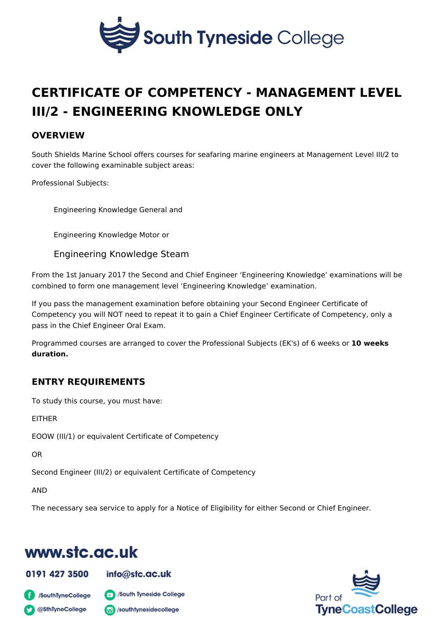# CERTIFICATE OF COMPETENCY - MANAGEMENT [III/2 - ENGINEERING KNOWLED](https://www.stc.ac.uk/marine-school/course/certificate-competency-management-level-iii2-engineering-knowledge-only)GE ONLY

### OVERVIEW

South Shields Marine School offers courses for seafaring marine engineers at M cover the following examinable subject areas:

Professional Subjects:

Engineering Knowledge General and

Engineering Knowledge Motor or

Engineering Knowledge Steam

From the 1st January 2017 the Second and Chief Engineer Engineering Knowled combined to form one management level Engineering Knowledge examination.

If you pass the management examination before obtaining your Second Engineer Competency you will NOT need to repeat it to gain a Chief Engineer Certificate pass in the Chief Engineer Oral Exam.

Programmed courses are arranged to cover the Professional Subjects (EsK's) of 6 duration.

## ENTRY REQUIREMENTS

To study this course, you must have:

EITHER

EOOW (III/1) or equivalent Certificate of Competency

OR

Second Engineer (III/2) or equivalent Certificate of Competency

AND

The necessary sea service to apply for a Notice of Eligibility for either Second